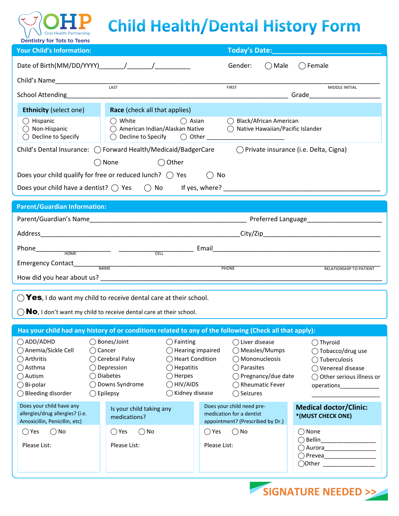# **Child Health/Dental History Form**

| Dentistry for lots to leens<br><b>Your Child's Information:</b>                                             |                                                                                               |                                                       | Today's Date:                                              |                                                          |  |
|-------------------------------------------------------------------------------------------------------------|-----------------------------------------------------------------------------------------------|-------------------------------------------------------|------------------------------------------------------------|----------------------------------------------------------|--|
|                                                                                                             |                                                                                               |                                                       | $\bigcirc$ Male<br>Gender:                                 | $\bigcap$ Female                                         |  |
|                                                                                                             |                                                                                               |                                                       |                                                            |                                                          |  |
| Child's Name                                                                                                | LAST                                                                                          | <b>FIRST</b>                                          |                                                            | MIDDLE INITIAL                                           |  |
|                                                                                                             |                                                                                               |                                                       |                                                            |                                                          |  |
| <b>Ethnicity (select one)</b>                                                                               | <b>Race</b> (check all that applies)                                                          |                                                       |                                                            |                                                          |  |
| $\bigcirc$ Hispanic<br>$\bigcirc$ Non-Hispanic<br>$\bigcirc$ Decline to Specify                             | $\bigcirc$ White<br>◯ American Indian/Alaskan Native<br>Decline to Specify $\bigcirc$ Other _ | $\bigcirc$ Asian<br>$\bigcirc$<br>$\bigcirc$          | Black/African American<br>Native Hawaiian/Pacific Islander |                                                          |  |
| ○ Private insurance (i.e. Delta, Cigna)<br>Child's Dental Insurance: ( ) Forward Health/Medicaid/BadgerCare |                                                                                               |                                                       |                                                            |                                                          |  |
| $\bigcap$ None<br>$\bigcirc$ Other                                                                          |                                                                                               |                                                       |                                                            |                                                          |  |
| Does your child qualify for free or reduced lunch? $\bigcirc$ Yes<br>No<br>$($ )                            |                                                                                               |                                                       |                                                            |                                                          |  |
|                                                                                                             |                                                                                               |                                                       |                                                            |                                                          |  |
| <b>Parent/Guardian Information:</b>                                                                         |                                                                                               |                                                       |                                                            |                                                          |  |
|                                                                                                             |                                                                                               |                                                       |                                                            |                                                          |  |
|                                                                                                             |                                                                                               |                                                       |                                                            |                                                          |  |
|                                                                                                             |                                                                                               |                                                       |                                                            |                                                          |  |
|                                                                                                             |                                                                                               |                                                       |                                                            |                                                          |  |
| RELATIONSHIP TO PATIENT<br>PHONE                                                                            |                                                                                               |                                                       |                                                            |                                                          |  |
|                                                                                                             |                                                                                               |                                                       |                                                            |                                                          |  |
|                                                                                                             |                                                                                               |                                                       |                                                            |                                                          |  |
| $\bigcirc$ Yes, I do want my child to receive dental care at their school.                                  |                                                                                               |                                                       |                                                            |                                                          |  |
| $\bigcirc$ <b>No</b> , I don't want my child to receive dental care at their school.                        |                                                                                               |                                                       |                                                            |                                                          |  |
| Has your child had any history of or conditions related to any of the following (Check all that apply):     |                                                                                               |                                                       |                                                            |                                                          |  |
| $\bigcirc$ ADD/ADHD                                                                                         | ◯ Bones/Joint<br>$\bigcap$ Fainting                                                           |                                                       | () Liver disease                                           | $\bigcap$ Thyroid                                        |  |
| ○ Anemia/Sickle Cell                                                                                        | $\bigcap$ Cancer                                                                              | $\bigcirc$ Hearing impaired                           | ◯ Measles/Mumps                                            | $\bigcirc$ Tobacco/drug use                              |  |
| $\bigcirc$ Arthritis<br>$\bigcap$ Asthma                                                                    | ◯ Cerebral Palsy<br>◯ Depression                                                              | ◯ Heart Condition<br>$\bigcirc$ Hepatitis             | ◯ Mononucleosis<br>◯ Parasites                             | ◯ Tuberculosis<br>◯ Venereal disease                     |  |
| $\bigcirc$ Autism                                                                                           | ◯ Diabetes<br>$\bigcirc$ Herpes                                                               |                                                       | ◯ Pregnancy/due date                                       | ◯ Other serious illness or                               |  |
| $\bigcirc$ Bi-polar                                                                                         | ◯ Downs Syndrome                                                                              | $\bigcirc$ HIV/AIDS                                   | ◯ Rheumatic Fever                                          | operations______________                                 |  |
| ◯ Bleeding disorder<br>$\bigcirc$ Epilepsy<br>$\bigcirc$ Kidney disease<br>◯ Seizures                       |                                                                                               |                                                       |                                                            |                                                          |  |
| Does your child have any<br>allergies/drug allergies? (i.e.<br>Amoxicillin, Penicillin, etc)                | Is your child taking any<br>medications?                                                      | Does your child need pre-<br>medication for a dentist | appointment? (Prescribed by Dr.)                           | <b>Medical doctor/Clinic:</b><br>*(MUST CHECK ONE)       |  |
| $\bigcirc$ No<br>$\bigcirc$ Yes                                                                             | $\bigcirc$ No<br>$\bigcirc$ Yes                                                               | $\bigcirc$ Yes                                        | $\bigcirc$ No                                              | ◯ None                                                   |  |
| Please List:                                                                                                | Please List:                                                                                  | Please List:                                          |                                                            | Bellin___________________<br>◯ Aurora___________________ |  |
|                                                                                                             |                                                                                               |                                                       |                                                            | ◯ Prevea_________________                                |  |
|                                                                                                             |                                                                                               |                                                       |                                                            | ◯Other <u>────────</u>                                   |  |